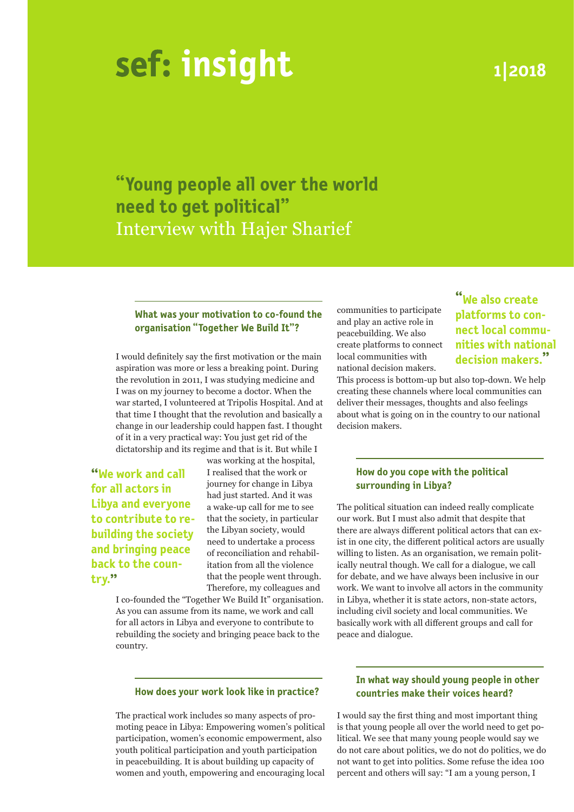# **insight 1|2018**

**"Young people all over the world need to get political"** Interview with Hajer Sharief

# **What was your motivation to co-found the organisation "Together We Build It"?**

I would definitely say the first motivation or the main aspiration was more or less a breaking point. During the revolution in 2011, I was studying medicine and I was on my journey to become a doctor. When the war started, I volunteered at Tripolis Hospital. And at that time I thought that the revolution and basically a change in our leadership could happen fast. I thought of it in a very practical way: You just get rid of the dictatorship and its regime and that is it. But while I

**"We work and call for all actors in Libya and everyone to contribute to rebuilding the society and bringing peace back to the country."**

was working at the hospital, I realised that the work or journey for change in Libya had just started. And it was a wake-up call for me to see that the society, in particular the Libyan society, would need to undertake a process of reconciliation and rehabilitation from all the violence that the people went through. Therefore, my colleagues and

I co-founded the "Together We Build It" organisation. As you can assume from its name, we work and call for all actors in Libya and everyone to contribute to rebuilding the society and bringing peace back to the country.

#### **How does your work look like in practice?**

The practical work includes so many aspects of promoting peace in Libya: Empowering women's political participation, women's economic empowerment, also youth political participation and youth participation in peacebuilding. It is about building up capacity of women and youth, empowering and encouraging local communities to participate and play an active role in peacebuilding. We also create platforms to connect local communities with national decision makers.

**"We also create platforms to connect local communities with national decision makers."**

This process is bottom-up but also top-down. We help creating these channels where local communities can deliver their messages, thoughts and also feelings about what is going on in the country to our national decision makers.

# **How do you cope with the political surrounding in Libya?**

The political situation can indeed really complicate our work. But I must also admit that despite that there are always different political actors that can exist in one city, the different political actors are usually willing to listen. As an organisation, we remain politically neutral though. We call for a dialogue, we call for debate, and we have always been inclusive in our work. We want to involve all actors in the community in Libya, whether it is state actors, non-state actors, including civil society and local communities. We basically work with all different groups and call for peace and dialogue.

# **In what way should young people in other countries make their voices heard?**

I would say the first thing and most important thing is that young people all over the world need to get political. We see that many young people would say we do not care about politics, we do not do politics, we do not want to get into politics. Some refuse the idea 100 percent and others will say: "I am a young person, I